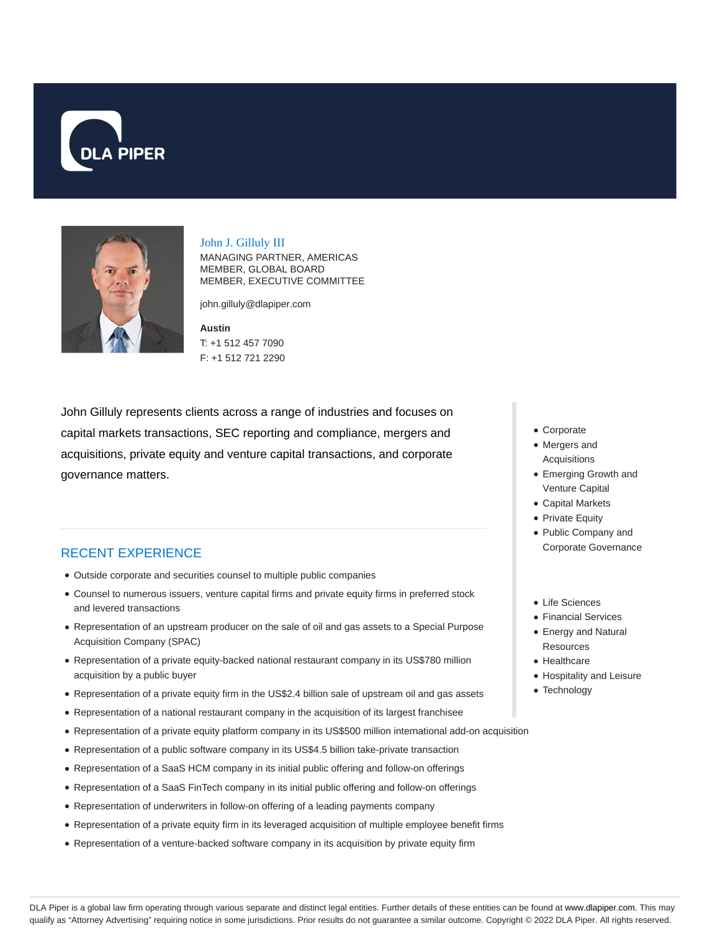



John J. Gilluly III

MANAGING PARTNER, AMERICAS MEMBER, GLOBAL BOARD MEMBER, EXECUTIVE COMMITTEE

john.gilluly@dlapiper.com

**Austin** T: +1 512 457 7090 F: +1 512 721 2290

John Gilluly represents clients across a range of industries and focuses on capital markets transactions, SEC reporting and compliance, mergers and acquisitions, private equity and venture capital transactions, and corporate governance matters.

## RECENT EXPERIENCE

- Outside corporate and securities counsel to multiple public companies
- Counsel to numerous issuers, venture capital firms and private equity firms in preferred stock and levered transactions
- Representation of an upstream producer on the sale of oil and gas assets to a Special Purpose Acquisition Company (SPAC)
- Representation of a private equity-backed national restaurant company in its US\$780 million acquisition by a public buyer
- Representation of a private equity firm in the US\$2.4 billion sale of upstream oil and gas assets
- Representation of a national restaurant company in the acquisition of its largest franchisee
- Representation of a private equity platform company in its US\$500 million international add-on acquisition
- Representation of a public software company in its US\$4.5 billion take-private transaction
- Representation of a SaaS HCM company in its initial public offering and follow-on offerings
- Representation of a SaaS FinTech company in its initial public offering and follow-on offerings
- Representation of underwriters in follow-on offering of a leading payments company
- Representation of a private equity firm in its leveraged acquisition of multiple employee benefit firms
- Representation of a venture-backed software company in its acquisition by private equity firm
- Corporate
- Mergers and Acquisitions
- Emerging Growth and Venture Capital
- Capital Markets
- Private Equity
- Public Company and Corporate Governance
- Life Sciences
- Financial Services
- Energy and Natural **Resources**
- Healthcare
- Hospitality and Leisure
- Technology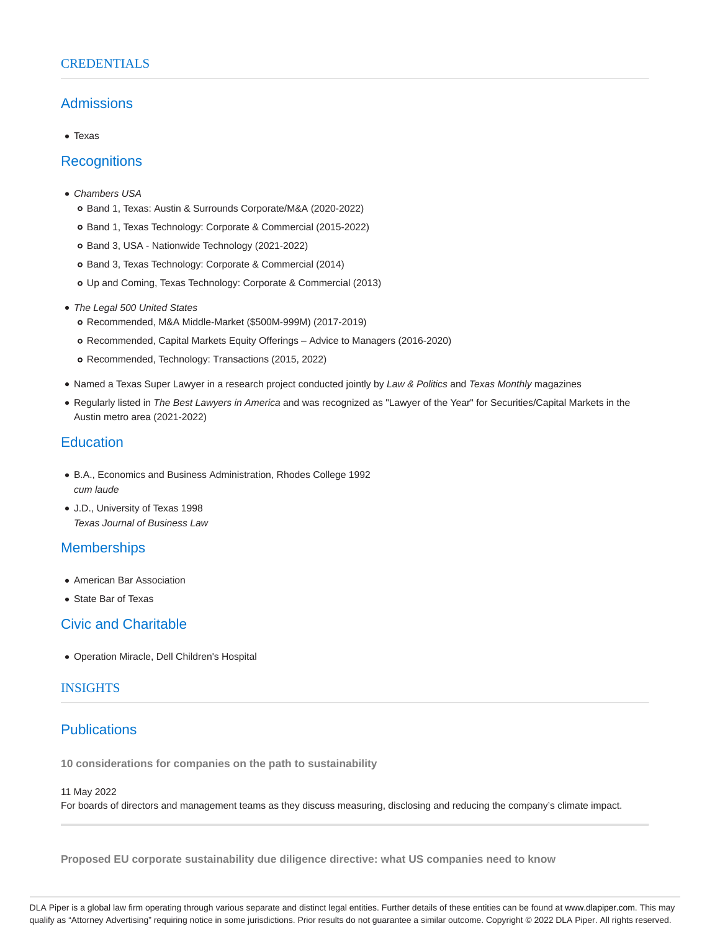### **CREDENTIALS**

## Admissions

Texas

## **Recognitions**

- Chambers USA
	- Band 1, Texas: Austin & Surrounds Corporate/M&A (2020-2022)
	- Band 1, Texas Technology: Corporate & Commercial (2015-2022)
	- o Band 3, USA Nationwide Technology (2021-2022)
	- Band 3, Texas Technology: Corporate & Commercial (2014)
	- Up and Coming, Texas Technology: Corporate & Commercial (2013)
- The Legal 500 United States
	- Recommended, M&A Middle-Market (\$500M-999M) (2017-2019)
	- Recommended, Capital Markets Equity Offerings Advice to Managers (2016-2020)
	- o Recommended, Technology: Transactions (2015, 2022)
- Named a Texas Super Lawyer in a research project conducted jointly by Law & Politics and Texas Monthly magazines
- Regularly listed in The Best Lawyers in America and was recognized as "Lawyer of the Year" for Securities/Capital Markets in the Austin metro area (2021-2022)

## **Education**

- B.A., Economics and Business Administration, Rhodes College 1992 cum laude
- J.D., University of Texas 1998 Texas Journal of Business Law

# **Memberships**

- American Bar Association
- State Bar of Texas

## Civic and Charitable

Operation Miracle, Dell Children's Hospital

## **INSIGHTS**

# **Publications**

**10 considerations for companies on the path to sustainability**

#### 11 May 2022

For boards of directors and management teams as they discuss measuring, disclosing and reducing the company's climate impact.

**Proposed EU corporate sustainability due diligence directive: what US companies need to know**

DLA Piper is a global law firm operating through various separate and distinct legal entities. Further details of these entities can be found at www.dlapiper.com. This may qualify as "Attorney Advertising" requiring notice in some jurisdictions. Prior results do not guarantee a similar outcome. Copyright © 2022 DLA Piper. All rights reserved.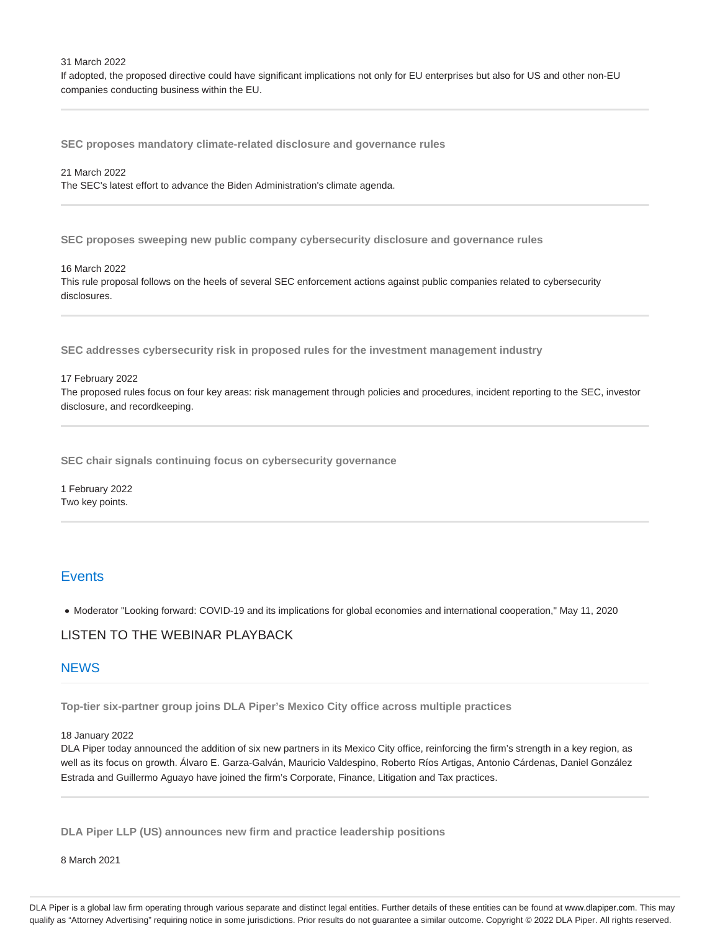31 March 2022

If adopted, the proposed directive could have significant implications not only for EU enterprises but also for US and other non-EU companies conducting business within the EU.

**SEC proposes mandatory climate-related disclosure and governance rules**

# 21 March 2022

The SEC's latest effort to advance the Biden Administration's climate agenda.

**SEC proposes sweeping new public company cybersecurity disclosure and governance rules**

#### 16 March 2022

This rule proposal follows on the heels of several SEC enforcement actions against public companies related to cybersecurity disclosures.

**SEC addresses cybersecurity risk in proposed rules for the investment management industry**

#### 17 February 2022

The proposed rules focus on four key areas: risk management through policies and procedures, incident reporting to the SEC, investor disclosure, and recordkeeping.

**SEC chair signals continuing focus on cybersecurity governance**

1 February 2022 Two key points.

## **Events**

Moderator "Looking forward: COVID-19 and its implications for global economies and international cooperation," May 11, 2020

## LISTEN TO THE WEBINAR PLAYBACK

### **NEWS**

**Top-tier six-partner group joins DLA Piper's Mexico City office across multiple practices**

18 January 2022

DLA Piper today announced the addition of six new partners in its Mexico City office, reinforcing the firm's strength in a key region, as well as its focus on growth. Álvaro E. Garza-Galván, Mauricio Valdespino, Roberto Ríos Artigas, Antonio Cárdenas, Daniel González Estrada and Guillermo Aguayo have joined the firm's Corporate, Finance, Litigation and Tax practices.

**DLA Piper LLP (US) announces new firm and practice leadership positions**

8 March 2021

DLA Piper is a global law firm operating through various separate and distinct legal entities. Further details of these entities can be found at www.dlapiper.com. This may qualify as "Attorney Advertising" requiring notice in some jurisdictions. Prior results do not guarantee a similar outcome. Copyright @ 2022 DLA Piper. All rights reserved.